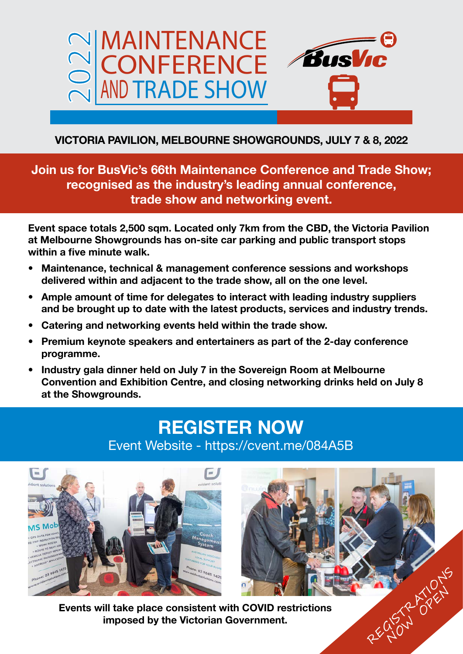

# **VICTORIA PAVILION, MELBOURNE SHOWGROUNDS, JULY 7 & 8, 2022**

**Join us for BusVic's 66th Maintenance Conference and Trade Show; recognised as the industry's leading annual conference, trade show and networking event.**

**Event space totals 2,500 sqm. Located only 7km from the CBD, the Victoria Pavilion at Melbourne Showgrounds has on-site car parking and public transport stops within a five minute walk.**

- **• Maintenance, technical & management conference sessions and workshops delivered within and adjacent to the trade show, all on the one level.**
- **• Ample amount of time for delegates to interact with leading industry suppliers and be brought up to date with the latest products, services and industry trends.**
- **• Catering and networking events held within the trade show.**
- **• Premium keynote speakers and entertainers as part of the 2-day conference programme.**
- **• Industry gala dinner held on July 7 in the Sovereign Room at Melbourne Convention and Exhibition Centre, and closing networking drinks held on July 8 at the Showgrounds.**

# **REGISTER NOW** Event Website - https://cvent.me/084A5B



**Events will take place consistent with COVID restrictions**  ill take place consistent with COVID restrictions<br>imposed by the Victorian Government.

NOW PARK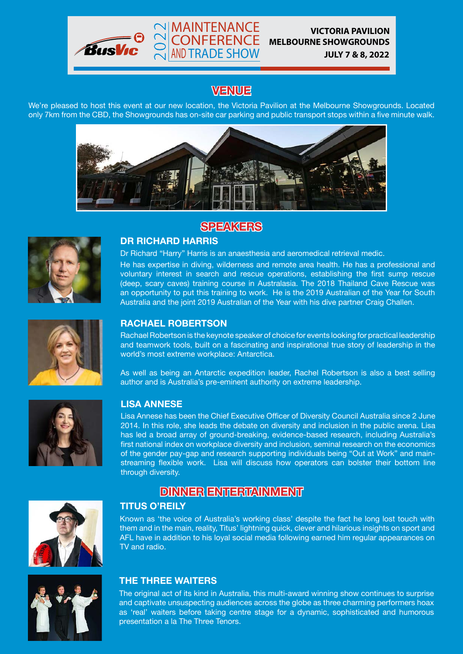

## **VENUE**

MAINTENANCE 2022 CONFERENCE AND TRADE SHOW

We're pleased to host this event at our new location, the Victoria Pavilion at the Melbourne Showgrounds. Located only 7km from the CBD, the Showgrounds has on-site car parking and public transport stops within a five minute walk.



### **SPEAKERS**



#### **DR RICHARD HARRIS**

Dr Richard "Harry" Harris is an anaesthesia and aeromedical retrieval medic.

He has expertise in diving, wilderness and remote area health. He has a professional and voluntary interest in search and rescue operations, establishing the first sump rescue (deep, scary caves) training course in Australasia. The 2018 Thailand Cave Rescue was an opportunity to put this training to work. He is the 2019 Australian of the Year for South Australia and the joint 2019 Australian of the Year with his dive partner Craig Challen.



### **RACHAEL ROBERTSON**

Rachael Robertson is the keynote speaker of choice for events looking for practical leadership and teamwork tools, built on a fascinating and inspirational true story of leadership in the world's most extreme workplace: Antarctica.

As well as being an Antarctic expedition leader, Rachel Robertson is also a best selling author and is Australia's pre-eminent authority on extreme leadership.



#### **LISA ANNESE**

Lisa Annese has been the Chief Executive Officer of Diversity Council Australia since 2 June 2014. In this role, she leads the debate on diversity and inclusion in the public arena. Lisa has led a broad array of ground-breaking, evidence-based research, including Australia's first national index on workplace diversity and inclusion, seminal research on the economics of the gender pay-gap and research supporting individuals being "Out at Work" and mainstreaming flexible work. Lisa will discuss how operators can bolster their bottom line through diversity.



## **DINNER ENTERTAINMENT**

### **TITUS O'REILY**

Known as 'the voice of Australia's working class' despite the fact he long lost touch with them and in the main, reality, Titus' lightning quick, clever and hilarious insights on sport and AFL have in addition to his loyal social media following earned him regular appearances on TV and radio.



### **THE THREE WAITERS**

The original act of its kind in Australia, this multi-award winning show continues to surprise and captivate unsuspecting audiences across the globe as three charming performers hoax as 'real' waiters before taking centre stage for a dynamic, sophisticated and humorous presentation a la The Three Tenors.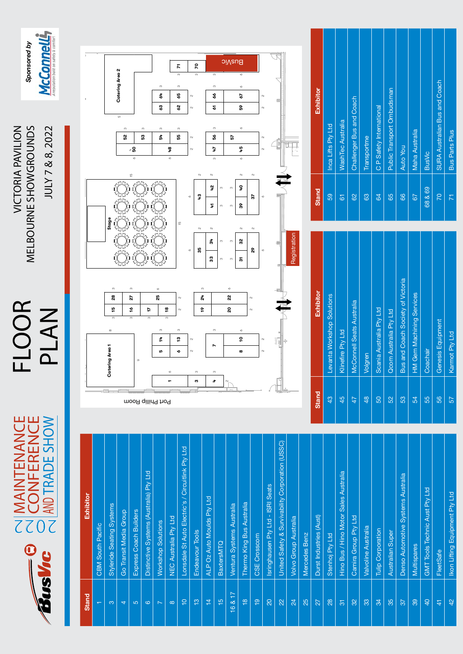ON MAINTENANCE FLOOR<br>2022 CONFERENCE PLAN<br>2022 MOTRADE SHOW PLAN MELBOURNE SHOWGROUNDS JULY 7 & 8, 2022 **VICTORIA PAVILION** WEL**OOR WELBOURNE SHOWGROUNDS** JULY 7 & 8, 2022

PLAN

MAINTENANCE

NIMAINTENANCE<br>CONFERENCE<br>CONFERENCE

 $\bigcirc$ 

V SV

**FLOOR** 



| <b>Stand</b>             | Exhibitor                                         |
|--------------------------|---------------------------------------------------|
| $\overline{\phantom{0}}$ | <b>CBM South Pacific</b>                          |
| $\infty$                 | Styleride Seating Systems                         |
| $\overline{4}$           | Go Transit Media Group                            |
| 5                        | Express Coach Builders                            |
| $\circ$                  | Distinctive Systems (Australia) Pty Ltd           |
| $\overline{ }$           | <b>Workshop Solutions</b>                         |
| $\infty$                 | NEC Australia Pty Ltd                             |
| $\frac{1}{1}$            | Lonsdale St Auto Electric's / Circuitlink Pty Ltd |
| $\frac{8}{10}$           | Endeavour Tools                                   |
| $\frac{1}{4}$            | ALP Oz Auto Moulds Pty Ltd                        |
| $\frac{5}{1}$            | <b>BaxtersMTQ</b>                                 |
| 16817                    | Ventura Systems Australia                         |
| $\frac{8}{1}$            | Thermo King Bus Australia                         |
| $\frac{1}{2}$            | CSE Crosscom                                      |
| $\overline{20}$          | Isringhausen Pty Ltd - ISRI Seats                 |
| 22                       | United Safety & Survivability Corporation (USSC)  |
| $^{24}$                  | <b>Volvo Group Australia</b>                      |
| 25                       | Mercedes Benz                                     |
| 27                       | Durst Industries (Aust)                           |
| 28                       | Stenhoj Pty Ltd                                   |
| $\overline{5}$           | Hino Bus / Hino Motor Sales Australia             |
| 32                       | Camira Group Pty Ltd                              |
| 33                       | Valvoline Australia                               |
| 34                       | Tulip Corporation                                 |
| 35                       | Australian Super                                  |
| 37                       | Denso Automotive Systems Australia                |
| 39                       | <b>Multispares</b>                                |
| $\overline{4}$           | GMT Tools Technic Aust Pty Ltd                    |
| $\frac{4}{3}$            | FleetSafe                                         |
| 42                       | Ikon Lifting Equipment Pty Ltd                    |



| <b>Stand</b>  | Exhibitor                         | ö  |
|---------------|-----------------------------------|----|
| $\frac{3}{4}$ | Levanta Workshop Solutions        |    |
| 45            | Klinefire Pty Ltd                 |    |
| 47            | McConnell Seats Australia         |    |
| 48            | Volgren                           |    |
| 50            | Scania Australia Pty Ltd          |    |
| 52            | <b>Qcom Australia Pty Ltd</b>     |    |
| 53            | Bus and Coach Society of Victoria |    |
| 54            | <b>HM Gem Machining Services</b>  |    |
| 55            | Coachair                          | 68 |
| 56            | Genesis Equipment                 |    |
| 57            | Karmot Pty Ltd                    |    |

| <b>Stand</b>    | Exhibitor                     |
|-----------------|-------------------------------|
| 59              | Inca Lifts Pty Ltd            |
| 61              | <b>WashTec Australia</b>      |
| $\overline{62}$ | Challenger Bus and Coach      |
| 83              | Transportme                   |
| 64              | C P Safety International      |
| 65              | Public Transport Ombudsman    |
| 66              | <b>Auto You</b>               |
| 67              | Maha Australia                |
| 68 & 69         | <b>BusVic</b>                 |
| <b>PZ</b>       | SURA Australian Bus and Coach |
| 下               | <b>Bus Parts Plus</b>         |
|                 |                               |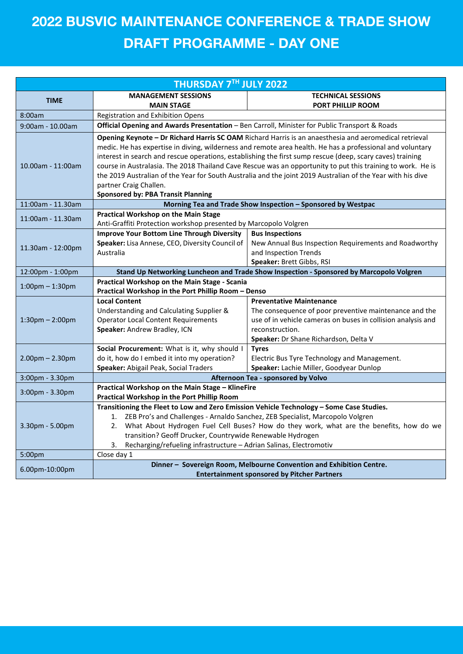# **DRAFT PROGRAMME - DAY ONE 2022 BUSVIC MAINTENANCE CONFERENCE & TRADE SHOW**

| <b>THURSDAY 7TH JULY 2022</b>     |                                                                                                                                                                                                                    |                                                                      |  |  |
|-----------------------------------|--------------------------------------------------------------------------------------------------------------------------------------------------------------------------------------------------------------------|----------------------------------------------------------------------|--|--|
|                                   | <b>MANAGEMENT SESSIONS</b>                                                                                                                                                                                         | <b>TECHNICAL SESSIONS</b>                                            |  |  |
| <b>TIME</b>                       | <b>MAIN STAGE</b>                                                                                                                                                                                                  | PORT PHILLIP ROOM                                                    |  |  |
| 8:00am                            | <b>Registration and Exhibition Opens</b>                                                                                                                                                                           |                                                                      |  |  |
| 9:00am - 10.00am                  | Official Opening and Awards Presentation - Ben Carroll, Minister for Public Transport & Roads                                                                                                                      |                                                                      |  |  |
|                                   | Opening Keynote - Dr Richard Harris SC OAM Richard Harris is an anaesthesia and aeromedical retrieval<br>medic. He has expertise in diving, wilderness and remote area health. He has a professional and voluntary |                                                                      |  |  |
|                                   | interest in search and rescue operations, establishing the first sump rescue (deep, scary caves) training                                                                                                          |                                                                      |  |  |
| 10.00am - 11:00am                 | course in Australasia. The 2018 Thailand Cave Rescue was an opportunity to put this training to work. He is                                                                                                        |                                                                      |  |  |
|                                   | the 2019 Australian of the Year for South Australia and the joint 2019 Australian of the Year with his dive                                                                                                        |                                                                      |  |  |
|                                   | partner Craig Challen.                                                                                                                                                                                             |                                                                      |  |  |
|                                   | <b>Sponsored by: PBA Transit Planning</b>                                                                                                                                                                          |                                                                      |  |  |
| 11:00am - 11.30am                 |                                                                                                                                                                                                                    | Morning Tea and Trade Show Inspection - Sponsored by Westpac         |  |  |
| 11:00am - 11.30am                 | <b>Practical Workshop on the Main Stage</b>                                                                                                                                                                        |                                                                      |  |  |
|                                   | Anti-Graffiti Protection workshop presented by Marcopolo Volgren                                                                                                                                                   |                                                                      |  |  |
|                                   | <b>Improve Your Bottom Line Through Diversity</b>                                                                                                                                                                  | <b>Bus Inspections</b>                                               |  |  |
| 11.30am - 12:00pm                 | Speaker: Lisa Annese, CEO, Diversity Council of                                                                                                                                                                    | New Annual Bus Inspection Requirements and Roadworthy                |  |  |
|                                   | Australia                                                                                                                                                                                                          | and Inspection Trends                                                |  |  |
| 12:00pm - 1:00pm                  | Speaker: Brett Gibbs, RSI                                                                                                                                                                                          |                                                                      |  |  |
|                                   | Stand Up Networking Luncheon and Trade Show Inspection - Sponsored by Marcopolo Volgren<br>Practical Workshop on the Main Stage - Scania                                                                           |                                                                      |  |  |
| $1:00 \text{pm} - 1:30 \text{pm}$ | Practical Workshop in the Port Phillip Room - Denso                                                                                                                                                                |                                                                      |  |  |
|                                   | <b>Local Content</b>                                                                                                                                                                                               | <b>Preventative Maintenance</b>                                      |  |  |
|                                   | Understanding and Calculating Supplier &                                                                                                                                                                           | The consequence of poor preventive maintenance and the               |  |  |
| $1:30 \text{pm} - 2:00 \text{pm}$ | <b>Operator Local Content Requirements</b>                                                                                                                                                                         | use of in vehicle cameras on buses in collision analysis and         |  |  |
|                                   | Speaker: Andrew Bradley, ICN                                                                                                                                                                                       | reconstruction.                                                      |  |  |
|                                   |                                                                                                                                                                                                                    | Speaker: Dr Shane Richardson, Delta V                                |  |  |
|                                   | Social Procurement: What is it, why should I                                                                                                                                                                       | <b>Tyres</b>                                                         |  |  |
| $2.00$ pm $- 2.30$ pm             | do it, how do I embed it into my operation?                                                                                                                                                                        | Electric Bus Tyre Technology and Management.                         |  |  |
|                                   | Speaker: Abigail Peak, Social Traders                                                                                                                                                                              | Speaker: Lachie Miller, Goodyear Dunlop                              |  |  |
| 3:00pm - 3.30pm                   | Afternoon Tea - sponsored by Volvo                                                                                                                                                                                 |                                                                      |  |  |
| 3:00pm - 3.30pm                   | Practical Workshop on the Main Stage - KlineFire<br>Practical Workshop in the Port Phillip Room                                                                                                                    |                                                                      |  |  |
|                                   | Transitioning the Fleet to Low and Zero Emission Vehicle Technology - Some Case Studies.                                                                                                                           |                                                                      |  |  |
| 3.30pm - 5.00pm                   | 1. ZEB Pro's and Challenges - Arnaldo Sanchez, ZEB Specialist, Marcopolo Volgren                                                                                                                                   |                                                                      |  |  |
|                                   | 2. What About Hydrogen Fuel Cell Buses? How do they work, what are the benefits, how do we                                                                                                                         |                                                                      |  |  |
|                                   | transition? Geoff Drucker, Countrywide Renewable Hydrogen                                                                                                                                                          |                                                                      |  |  |
|                                   | Recharging/refueling infrastructure - Adrian Salinas, Electromotiv<br>3.                                                                                                                                           |                                                                      |  |  |
| 5:00pm                            | Close day 1                                                                                                                                                                                                        |                                                                      |  |  |
| 6.00pm-10:00pm                    |                                                                                                                                                                                                                    | Dinner - Sovereign Room, Melbourne Convention and Exhibition Centre. |  |  |
|                                   |                                                                                                                                                                                                                    | <b>Entertainment sponsored by Pitcher Partners</b>                   |  |  |